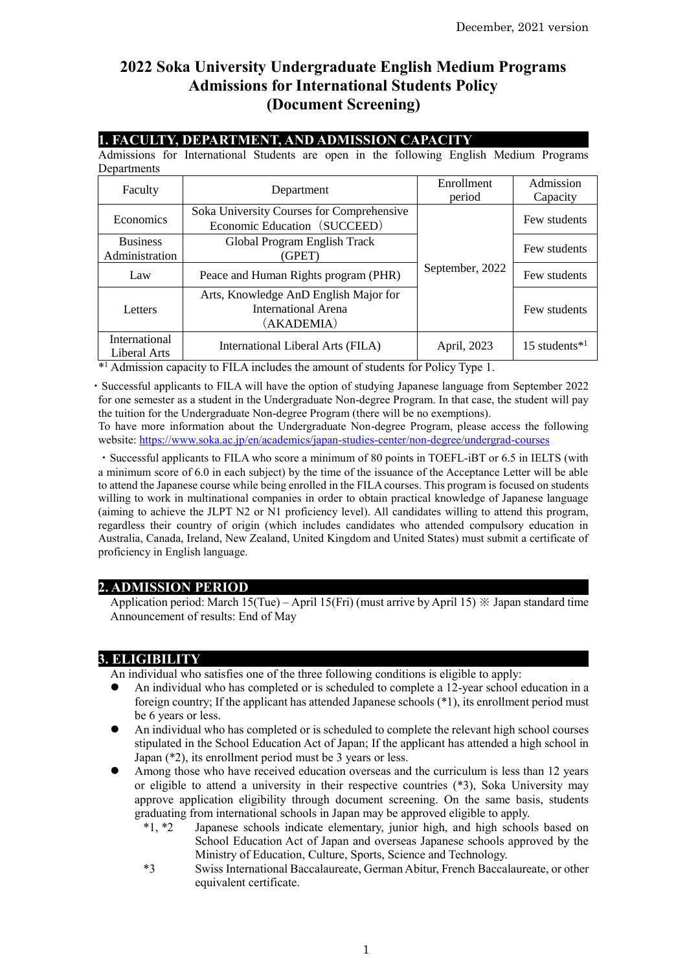# **2022 Soka University Undergraduate English Medium Programs Admissions for International Students Policy (Document Screening)**

### **1. FACULTY, DEPARTMENT, AND ADMISSION CAPACITY**

Admissions for International Students are open in the following English Medium Programs Departments

| Faculty                           | Department                                                                 | Enrollment<br>period | Admission<br>Capacity |
|-----------------------------------|----------------------------------------------------------------------------|----------------------|-----------------------|
| Economics                         | Soka University Courses for Comprehensive<br>Economic Education (SUCCEED)  |                      | Few students          |
| <b>Business</b><br>Administration | Global Program English Track<br>(GPET)                                     |                      | Few students          |
| Law                               | Peace and Human Rights program (PHR)                                       | September, 2022      | Few students          |
| Letters                           | Arts, Knowledge AnD English Major for<br>International Arena<br>(AKADEMIA) |                      | Few students          |
| International<br>Liberal Arts     | International Liberal Arts (FILA)                                          | April, 2023          | 15 students $*^1$     |

\* <sup>1</sup> Admission capacity to FILA includes the amount of students for Policy Type 1.

・Successful applicants to FILA will have the option of studying Japanese language from September 2022 for one semester as a student in the Undergraduate Non-degree Program. In that case, the student will pay the tuition for the Undergraduate Non-degree Program (there will be no exemptions).

To have more information about the Undergraduate Non-degree Program, please access the following website: <https://www.soka.ac.jp/en/academics/japan-studies-center/non-degree/undergrad-courses>

・Successful applicants to FILA who score a minimum of 80 points in TOEFL-iBT or 6.5 in IELTS (with a minimum score of 6.0 in each subject) by the time of the issuance of the Acceptance Letter will be able to attend the Japanese course while being enrolled in the FILA courses. This program is focused on students willing to work in multinational companies in order to obtain practical knowledge of Japanese language (aiming to achieve the JLPT N2 or N1 proficiency level). All candidates willing to attend this program, regardless their country of origin (which includes candidates who attended compulsory education in Australia, Canada, Ireland, New Zealand, United Kingdom and United States) must submit a certificate of proficiency in English language.

## **2. ADMISSION PERIOD**

Application period: March 15(Tue) – April 15(Fri) (must arrive by April 15) ※ Japan standard time Announcement of results: End of May

### **3. ELIGIBILITY**

An individual who satisfies one of the three following conditions is eligible to apply:

- An individual who has completed or is scheduled to complete a 12-year school education in a foreign country; If the applicant has attended Japanese schools (\*1), its enrollment period must be 6 years or less.
- ⚫ An individual who has completed or is scheduled to complete the relevant high school courses stipulated in the School Education Act of Japan; If the applicant has attended a high school in Japan (\*2), its enrollment period must be 3 years or less.
- Among those who have received education overseas and the curriculum is less than 12 years or eligible to attend a university in their respective countries (\*3), Soka University may approve application eligibility through document screening. On the same basis, students graduating from international schools in Japan may be approved eligible to apply.
	- \*1, \*2 Japanese schools indicate elementary, junior high, and high schools based on School Education Act of Japan and overseas Japanese schools approved by the Ministry of Education, Culture, Sports, Science and Technology.
	- \*3 Swiss International Baccalaureate, German Abitur, French Baccalaureate, or other equivalent certificate.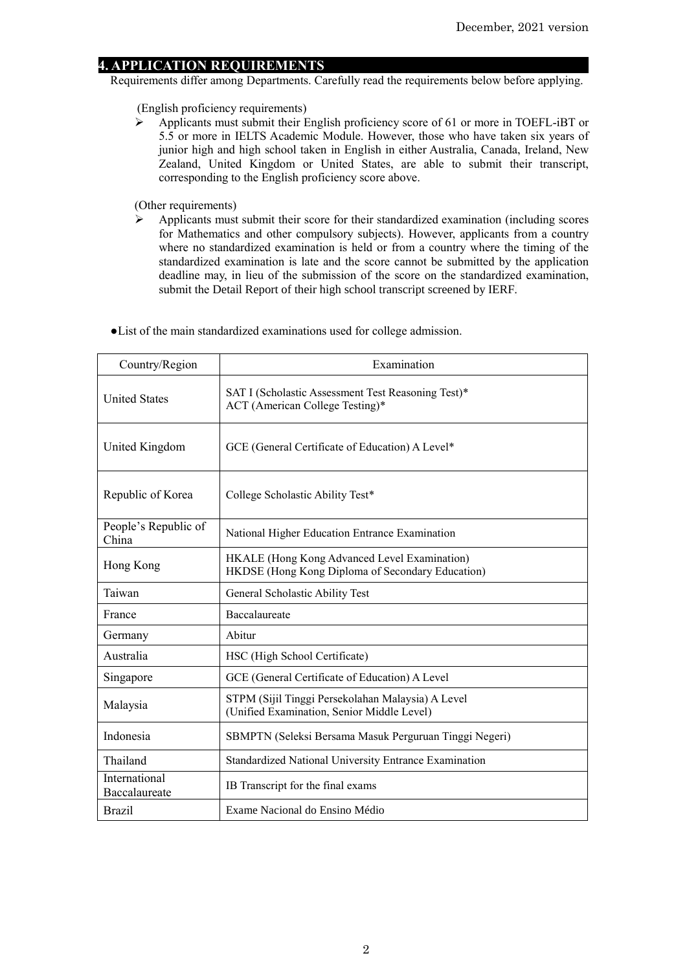### **4. APPLICATION REQUIREMENTS**

Requirements differ among Departments. Carefully read the requirements below before applying.

(English proficiency requirements)

 $\triangleright$  Applicants must submit their English proficiency score of 61 or more in TOEFL-iBT or 5.5 or more in IELTS Academic Module. However, those who have taken six years of junior high and high school taken in English in either Australia, Canada, Ireland, New Zealand, United Kingdom or United States, are able to submit their transcript, corresponding to the English proficiency score above.

(Other requirements)

➢ Applicants must submit their score for their standardized examination (including scores for Mathematics and other compulsory subjects). However, applicants from a country where no standardized examination is held or from a country where the timing of the standardized examination is late and the score cannot be submitted by the application deadline may, in lieu of the submission of the score on the standardized examination, submit the Detail Report of their high school transcript screened by IERF.

| Country/Region                 | Examination                                                                                      |
|--------------------------------|--------------------------------------------------------------------------------------------------|
| <b>United States</b>           | SAT I (Scholastic Assessment Test Reasoning Test)*<br>ACT (American College Testing)*            |
| United Kingdom                 | GCE (General Certificate of Education) A Level*                                                  |
| Republic of Korea              | College Scholastic Ability Test*                                                                 |
| People's Republic of<br>China  | National Higher Education Entrance Examination                                                   |
| Hong Kong                      | HKALE (Hong Kong Advanced Level Examination)<br>HKDSE (Hong Kong Diploma of Secondary Education) |
| Taiwan                         | General Scholastic Ability Test                                                                  |
| France                         | Baccalaureate                                                                                    |
| Germany                        | Abitur                                                                                           |
| Australia                      | HSC (High School Certificate)                                                                    |
| Singapore                      | GCE (General Certificate of Education) A Level                                                   |
| Malaysia                       | STPM (Sijil Tinggi Persekolahan Malaysia) A Level<br>(Unified Examination, Senior Middle Level)  |
| Indonesia                      | SBMPTN (Seleksi Bersama Masuk Perguruan Tinggi Negeri)                                           |
| Thailand                       | Standardized National University Entrance Examination                                            |
| International<br>Baccalaureate | IB Transcript for the final exams                                                                |
| <b>Brazil</b>                  | Exame Nacional do Ensino Médio                                                                   |

●List of the main standardized examinations used for college admission.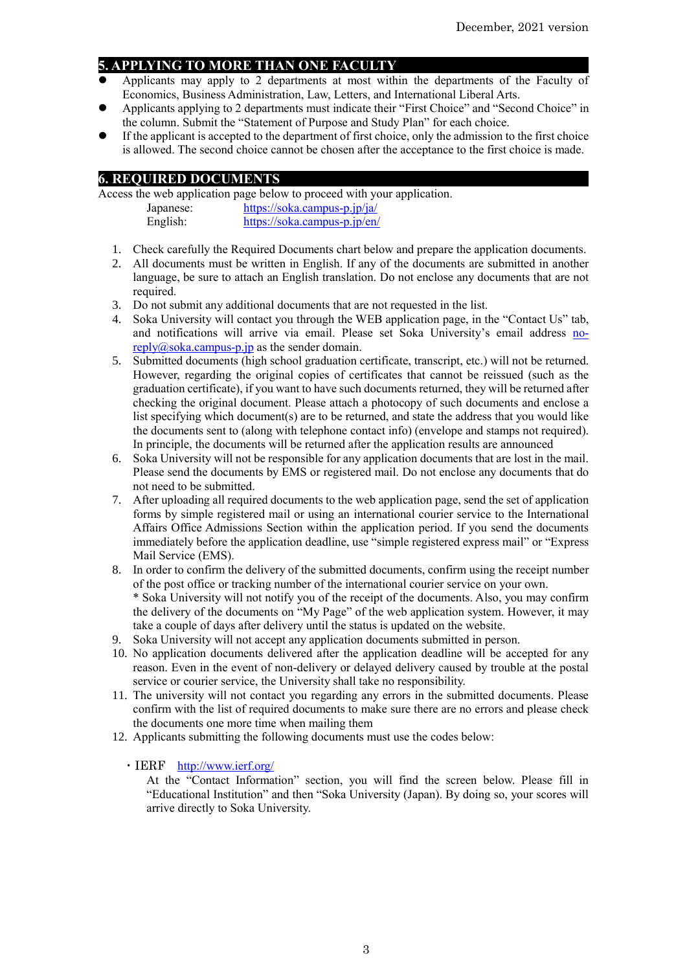## **5. APPLYING TO MORE THAN ONE FACULTY**

- ⚫ Applicants may apply to 2 departments at most within the departments of the Faculty of Economics, Business Administration, Law, Letters, and International Liberal Arts.
- ⚫ Applicants applying to 2 departments must indicate their "First Choice" and "Second Choice" in the column. Submit the "Statement of Purpose and Study Plan" for each choice.
- ⚫ If the applicant is accepted to the department of first choice, only the admission to the first choice is allowed. The second choice cannot be chosen after the acceptance to the first choice is made.

## **6. REQUIRED DOCUMENTS**

Access the web application page below to proceed with your application. Japanese: <https://soka.campus-p.jp/ja/>

| Japanese. | $\mu$ <sub>1</sub> $\mu$ <sub>1</sub> $\mu$ <sub>2</sub> $\mu$ <sub>1</sub> $\mu$ <sub>2</sub> $\mu$ <sub>2</sub> $\mu$ <sub>2</sub> $\mu$ <sub>2</sub> $\mu$ <sub>2</sub> $\mu$ <sub>2</sub> $\mu$ <sub>2</sub> $\mu$ <sub>2</sub> $\mu$ <sub>2</sub> $\mu$ <sub>2</sub> $\mu$ <sub>2</sub> $\mu$ <sub>2</sub> $\mu$ <sub>2</sub> $\mu$ <sub>2</sub> $\mu$ <sub>2</sub> $\mu$ <sub>2</sub> $\mu$ <sub>2</sub> $\mu$ <sub>2</sub> $\mu$ <sub>2</sub> $\mu$ <sub>2</sub> $\mu$ <sub>2</sub> $\mu$ <sub>2</sub> $\mu$ <sub>2</sub> $\mu$ <sub></sub> |
|-----------|----------------------------------------------------------------------------------------------------------------------------------------------------------------------------------------------------------------------------------------------------------------------------------------------------------------------------------------------------------------------------------------------------------------------------------------------------------------------------------------------------------------------------------------------------|
| English:  | https://soka.campus-p.jp/en/                                                                                                                                                                                                                                                                                                                                                                                                                                                                                                                       |
|           |                                                                                                                                                                                                                                                                                                                                                                                                                                                                                                                                                    |

- 1. Check carefully the Required Documents chart below and prepare the application documents.
- 2. All documents must be written in English. If any of the documents are submitted in another language, be sure to attach an English translation. Do not enclose any documents that are not required.
- 3. Do not submit any additional documents that are not requested in the list.
- 4. Soka University will contact you through the WEB application page, in the "Contact Us" tab, and notifications will arrive via email. Please set Soka University's email address [no](mailto:no-reply@soka.campus-p.jp) $reply@soka.campus-p.jp$  as the sender domain.
- 5. Submitted documents (high school graduation certificate, transcript, etc.) will not be returned. However, regarding the original copies of certificates that cannot be reissued (such as the graduation certificate), if you want to have such documents returned, they will be returned after checking the original document. Please attach a photocopy of such documents and enclose a list specifying which document(s) are to be returned, and state the address that you would like the documents sent to (along with telephone contact info) (envelope and stamps not required). In principle, the documents will be returned after the application results are announced
- 6. Soka University will not be responsible for any application documents that are lost in the mail. Please send the documents by EMS or registered mail. Do not enclose any documents that do not need to be submitted.
- 7. After uploading all required documents to the web application page, send the set of application forms by simple registered mail or using an international courier service to the International Affairs Office Admissions Section within the application period. If you send the documents immediately before the application deadline, use "simple registered express mail" or "Express Mail Service (EMS).
- 8. In order to confirm the delivery of the submitted documents, confirm using the receipt number of the post office or tracking number of the international courier service on your own. \* Soka University will not notify you of the receipt of the documents. Also, you may confirm the delivery of the documents on "My Page" of the web application system. However, it may take a couple of days after delivery until the status is updated on the website.
- 9. Soka University will not accept any application documents submitted in person.
- 10. No application documents delivered after the application deadline will be accepted for any reason. Even in the event of non-delivery or delayed delivery caused by trouble at the postal service or courier service, the University shall take no responsibility.
- 11. The university will not contact you regarding any errors in the submitted documents. Please confirm with the list of required documents to make sure there are no errors and please check the documents one more time when mailing them
- 12. Applicants submitting the following documents must use the codes below:
	- ・IERF <http://www.ierf.org/>

At the "Contact Information" section, you will find the screen below. Please fill in "Educational Institution" and then "Soka University (Japan). By doing so, your scores will arrive directly to Soka University.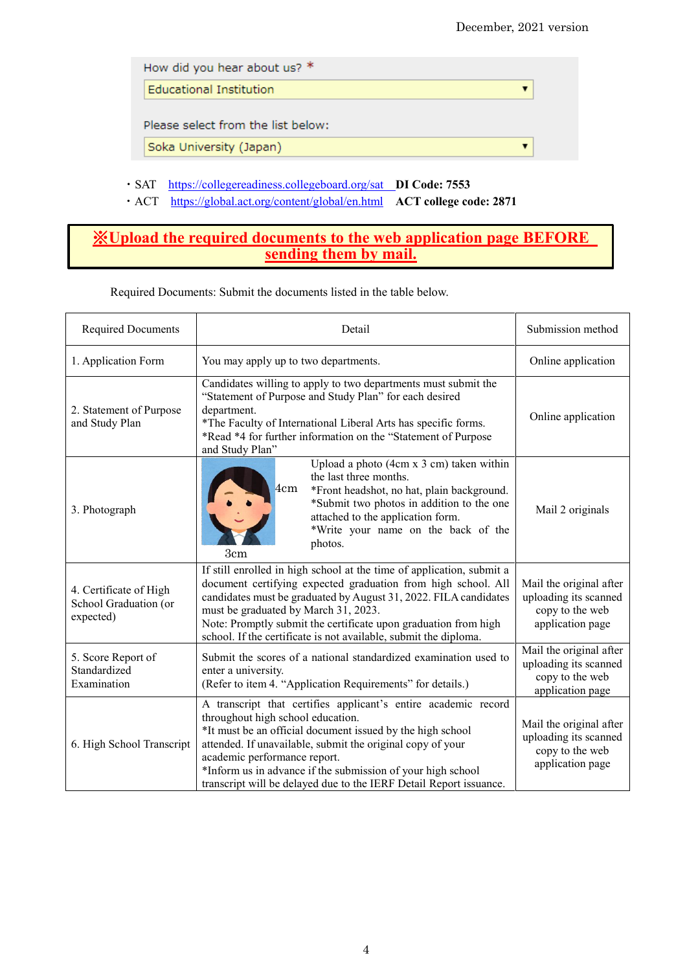| How did you hear about us? *       |  |
|------------------------------------|--|
| Educational Institution            |  |
|                                    |  |
| Please select from the list below: |  |

- ・SAT <https://collegereadiness.collegeboard.org/sat> **DI Code: 7553**
- ・ACT <https://global.act.org/content/global/en.html>**ACT college code: 2871**

## ※**Upload the required documents to the web application page BEFORE sending them by mail.**

| <b>Required Documents</b>                                    | Detail                                                                                                                                                                                                                                                                                                                                                                                               | Submission method                                                                       |
|--------------------------------------------------------------|------------------------------------------------------------------------------------------------------------------------------------------------------------------------------------------------------------------------------------------------------------------------------------------------------------------------------------------------------------------------------------------------------|-----------------------------------------------------------------------------------------|
| 1. Application Form                                          | You may apply up to two departments.                                                                                                                                                                                                                                                                                                                                                                 | Online application                                                                      |
| 2. Statement of Purpose<br>and Study Plan                    | Candidates willing to apply to two departments must submit the<br>"Statement of Purpose and Study Plan" for each desired<br>department.<br>*The Faculty of International Liberal Arts has specific forms.<br>*Read *4 for further information on the "Statement of Purpose<br>and Study Plan"                                                                                                        | Online application                                                                      |
| 3. Photograph                                                | Upload a photo (4cm x 3 cm) taken within<br>the last three months.<br>4cm<br>*Front headshot, no hat, plain background.<br>*Submit two photos in addition to the one<br>attached to the application form.<br>*Write your name on the back of the<br>photos.<br>3cm                                                                                                                                   | Mail 2 originals                                                                        |
| 4. Certificate of High<br>School Graduation (or<br>expected) | If still enrolled in high school at the time of application, submit a<br>document certifying expected graduation from high school. All<br>candidates must be graduated by August 31, 2022. FILA candidates<br>must be graduated by March 31, 2023.<br>Note: Promptly submit the certificate upon graduation from high<br>school. If the certificate is not available, submit the diploma.            | Mail the original after<br>uploading its scanned<br>copy to the web<br>application page |
| 5. Score Report of<br>Standardized<br>Examination            | Submit the scores of a national standardized examination used to<br>enter a university.<br>(Refer to item 4. "Application Requirements" for details.)                                                                                                                                                                                                                                                | Mail the original after<br>uploading its scanned<br>copy to the web<br>application page |
| 6. High School Transcript                                    | A transcript that certifies applicant's entire academic record<br>throughout high school education.<br>*It must be an official document issued by the high school<br>attended. If unavailable, submit the original copy of your<br>academic performance report.<br>*Inform us in advance if the submission of your high school<br>transcript will be delayed due to the IERF Detail Report issuance. | Mail the original after<br>uploading its scanned<br>copy to the web<br>application page |

Required Documents: Submit the documents listed in the table below.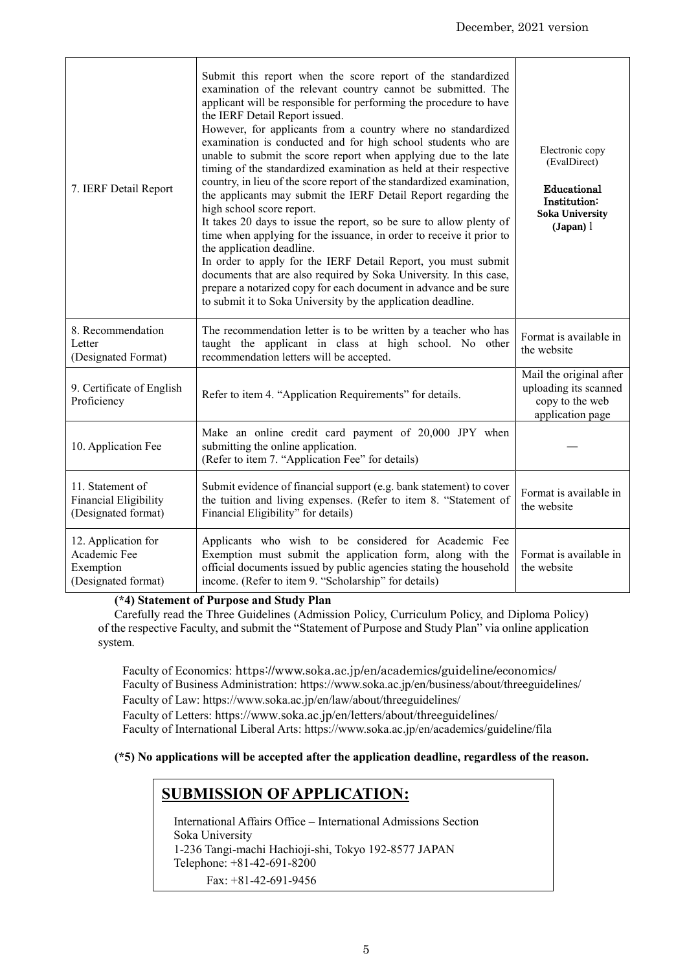| 7. IERF Detail Report                                                   | Submit this report when the score report of the standardized<br>examination of the relevant country cannot be submitted. The<br>applicant will be responsible for performing the procedure to have<br>the IERF Detail Report issued.<br>However, for applicants from a country where no standardized<br>examination is conducted and for high school students who are<br>unable to submit the score report when applying due to the late<br>timing of the standardized examination as held at their respective<br>country, in lieu of the score report of the standardized examination,<br>the applicants may submit the IERF Detail Report regarding the<br>high school score report.<br>It takes 20 days to issue the report, so be sure to allow plenty of<br>time when applying for the issuance, in order to receive it prior to<br>the application deadline.<br>In order to apply for the IERF Detail Report, you must submit<br>documents that are also required by Soka University. In this case,<br>prepare a notarized copy for each document in advance and be sure<br>to submit it to Soka University by the application deadline. | Electronic copy<br>(EvalDirect)<br>Educational<br>Institution:<br><b>Soka University</b><br>$(Japan)$ $l$ |
|-------------------------------------------------------------------------|------------------------------------------------------------------------------------------------------------------------------------------------------------------------------------------------------------------------------------------------------------------------------------------------------------------------------------------------------------------------------------------------------------------------------------------------------------------------------------------------------------------------------------------------------------------------------------------------------------------------------------------------------------------------------------------------------------------------------------------------------------------------------------------------------------------------------------------------------------------------------------------------------------------------------------------------------------------------------------------------------------------------------------------------------------------------------------------------------------------------------------------------|-----------------------------------------------------------------------------------------------------------|
| 8. Recommendation<br>Letter<br>(Designated Format)                      | The recommendation letter is to be written by a teacher who has<br>taught the applicant in class at high school. No other<br>recommendation letters will be accepted.                                                                                                                                                                                                                                                                                                                                                                                                                                                                                                                                                                                                                                                                                                                                                                                                                                                                                                                                                                          | Format is available in<br>the website                                                                     |
| 9. Certificate of English<br>Proficiency                                | Refer to item 4. "Application Requirements" for details.                                                                                                                                                                                                                                                                                                                                                                                                                                                                                                                                                                                                                                                                                                                                                                                                                                                                                                                                                                                                                                                                                       | Mail the original after<br>uploading its scanned<br>copy to the web<br>application page                   |
| 10. Application Fee                                                     | Make an online credit card payment of 20,000 JPY when<br>submitting the online application.<br>(Refer to item 7. "Application Fee" for details)                                                                                                                                                                                                                                                                                                                                                                                                                                                                                                                                                                                                                                                                                                                                                                                                                                                                                                                                                                                                |                                                                                                           |
| 11. Statement of<br>Financial Eligibility<br>(Designated format)        | Submit evidence of financial support (e.g. bank statement) to cover<br>the tuition and living expenses. (Refer to item 8. "Statement of<br>Financial Eligibility" for details)                                                                                                                                                                                                                                                                                                                                                                                                                                                                                                                                                                                                                                                                                                                                                                                                                                                                                                                                                                 | Format is available in<br>the website                                                                     |
| 12. Application for<br>Academic Fee<br>Exemption<br>(Designated format) | Applicants who wish to be considered for Academic Fee<br>Exemption must submit the application form, along with the<br>official documents issued by public agencies stating the household<br>income. (Refer to item 9. "Scholarship" for details)                                                                                                                                                                                                                                                                                                                                                                                                                                                                                                                                                                                                                                                                                                                                                                                                                                                                                              | Format is available in<br>the website                                                                     |

#### **(\*4) Statement of Purpose and Study Plan**

Carefully read the Three Guidelines (Admission Policy, Curriculum Policy, and Diploma Policy) of the respective Faculty, and submit the "Statement of Purpose and Study Plan" via online application system.

Faculty of Economics: https://www.soka.ac.jp/en/academics/guideline/economics/ Faculty of Business Administration: https://www.soka.ac.jp/en/business/about/threeguidelines/ Faculty of Law: https://www.soka.ac.jp/en/law/about/threeguidelines/ Faculty of Letters: https://www.soka.ac.jp/en/letters/about/threeguidelines/

Faculty of International Liberal Arts: https://www.soka.ac.jp/en/academics/guideline/fila

**(\*5) No applications will be accepted after the application deadline, regardless of the reason.** 

# **SUBMISSION OF APPLICATION:**

International Affairs Office – International Admissions Section Soka University 1-236 Tangi-machi Hachioji-shi, Tokyo 192-8577 JAPAN Telephone: +81-42-691-8200 Fax: +81-42-691-9456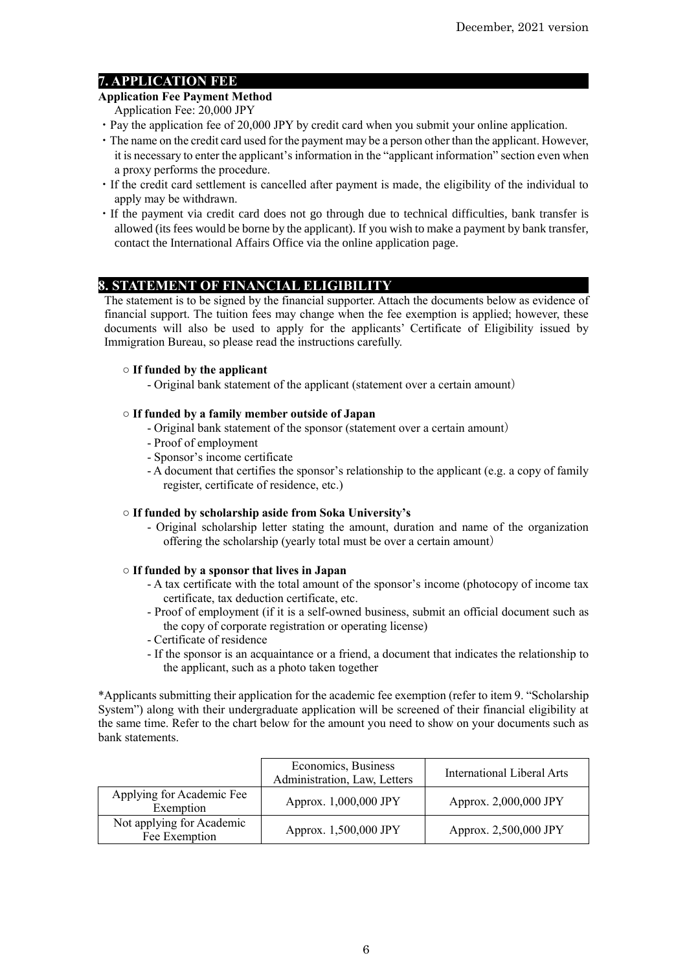## **7. APPLICATION FEE**

## **Application Fee Payment Method**

- Application Fee: 20,000 JPY
- ・Pay the application fee of 20,000 JPY by credit card when you submit your online application.
- ・The name on the credit card used for the payment may be a person other than the applicant. However, it is necessary to enter the applicant's information in the "applicant information" section even when a proxy performs the procedure.
- ・If the credit card settlement is cancelled after payment is made, the eligibility of the individual to apply may be withdrawn.
- ・If the payment via credit card does not go through due to technical difficulties, bank transfer is allowed (its fees would be borne by the applicant). If you wish to make a payment by bank transfer, contact the International Affairs Office via the online application page.

## **8. STATEMENT OF FINANCIAL ELIGIBILITY**

The statement is to be signed by the financial supporter. Attach the documents below as evidence of financial support. The tuition fees may change when the fee exemption is applied; however, these documents will also be used to apply for the applicants' Certificate of Eligibility issued by Immigration Bureau, so please read the instructions carefully.

### **○ If funded by the applicant**

- Original bank statement of the applicant (statement over a certain amount)

### **○ If funded by a family member outside of Japan**

- Original bank statement of the sponsor (statement over a certain amount)
- Proof of employment
- Sponsor's income certificate
- A document that certifies the sponsor's relationship to the applicant (e.g. a copy of family register, certificate of residence, etc.)

#### **○ If funded by scholarship aside from Soka University's**

- Original scholarship letter stating the amount, duration and name of the organization offering the scholarship (yearly total must be over a certain amount)

#### **○ If funded by a sponsor that lives in Japan**

- A tax certificate with the total amount of the sponsor's income (photocopy of income tax certificate, tax deduction certificate, etc.
- Proof of employment (if it is a self-owned business, submit an official document such as the copy of corporate registration or operating license)
- Certificate of residence
- If the sponsor is an acquaintance or a friend, a document that indicates the relationship to the applicant, such as a photo taken together

\*Applicants submitting their application for the academic fee exemption (refer to item 9. "Scholarship System") along with their undergraduate application will be screened of their financial eligibility at the same time. Refer to the chart below for the amount you need to show on your documents such as bank statements.

|                                            | Economics, Business<br>Administration, Law, Letters | International Liberal Arts |
|--------------------------------------------|-----------------------------------------------------|----------------------------|
| Applying for Academic Fee<br>Exemption     | Approx. 1,000,000 JPY                               | Approx. 2,000,000 JPY      |
| Not applying for Academic<br>Fee Exemption | Approx. 1,500,000 JPY                               | Approx. 2,500,000 JPY      |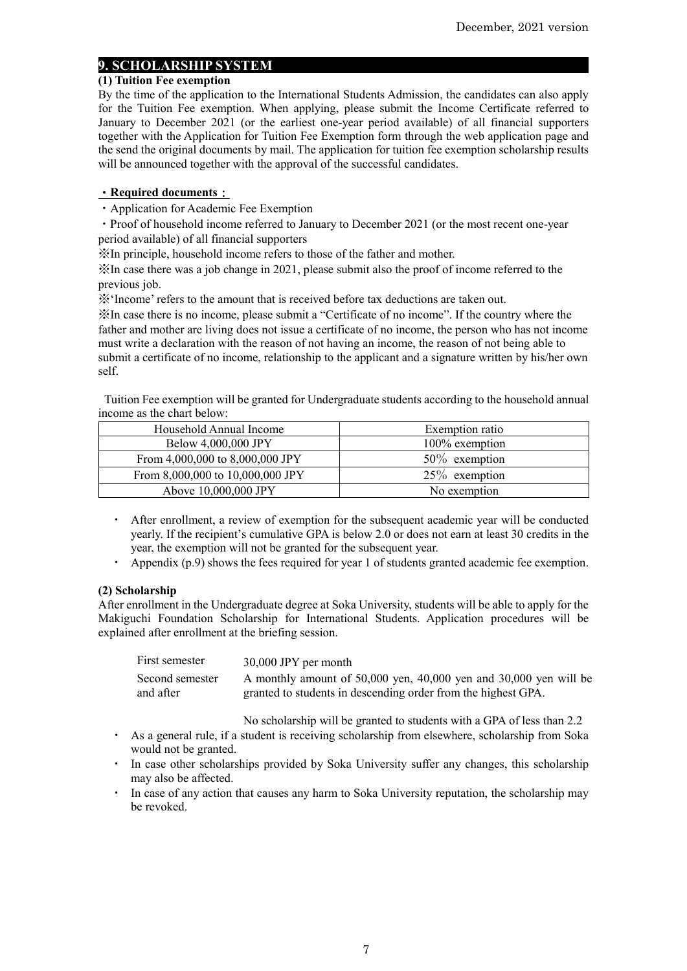### **9. SCHOLARSHIP SYSTEM**

#### **(1) Tuition Fee exemption**

By the time of the application to the International Students Admission, the candidates can also apply for the Tuition Fee exemption. When applying, please submit the Income Certificate referred to January to December 2021 (or the earliest one-year period available) of all financial supporters together with the Application for Tuition Fee Exemption form through the web application page and the send the original documents by mail. The application for tuition fee exemption scholarship results will be announced together with the approval of the successful candidates.

#### ・**Required documents**:

・Application for Academic Fee Exemption

・Proof of household income referred to January to December 2021 (or the most recent one-year period available) of all financial supporters

※In principle, household income refers to those of the father and mother.

※In case there was a job change in 2021, please submit also the proof of income referred to the previous job.

※'Income' refers to the amount that is received before tax deductions are taken out.

※In case there is no income, please submit a "Certificate of no income". If the country where the father and mother are living does not issue a certificate of no income, the person who has not income must write a declaration with the reason of not having an income, the reason of not being able to submit a certificate of no income, relationship to the applicant and a signature written by his/her own self.

Tuition Fee exemption will be granted for Undergraduate students according to the household annual income as the chart below:

| Household Annual Income          | Exemption ratio  |
|----------------------------------|------------------|
| Below 4,000,000 JPY              | 100% exemption   |
| From 4,000,000 to 8,000,000 JPY  | $50\%$ exemption |
| From 8,000,000 to 10,000,000 JPY | $25\%$ exemption |
| Above 10,000,000 JPY             | No exemption     |

- ・ After enrollment, a review of exemption for the subsequent academic year will be conducted yearly. If the recipient's cumulative GPA is below 2.0 or does not earn at least 30 credits in the year, the exemption will not be granted for the subsequent year.
- ・ Appendix (p.9) shows the fees required for year 1 of students granted academic fee exemption.

#### **(2) Scholarship**

After enrollment in the Undergraduate degree at Soka University, students will be able to apply for the Makiguchi Foundation Scholarship for International Students. Application procedures will be explained after enrollment at the briefing session.

| First semester  | 30,000 JPY per month                                              |
|-----------------|-------------------------------------------------------------------|
| Second semester | A monthly amount of 50,000 yen, 40,000 yen and 30,000 yen will be |
| and after       | granted to students in descending order from the highest GPA.     |

No scholarship will be granted to students with a GPA of less than 2.2

- ・ As a general rule, if a student is receiving scholarship from elsewhere, scholarship from Soka would not be granted.
- ・ In case other scholarships provided by Soka University suffer any changes, this scholarship may also be affected.
- ・ In case of any action that causes any harm to Soka University reputation, the scholarship may be revoked.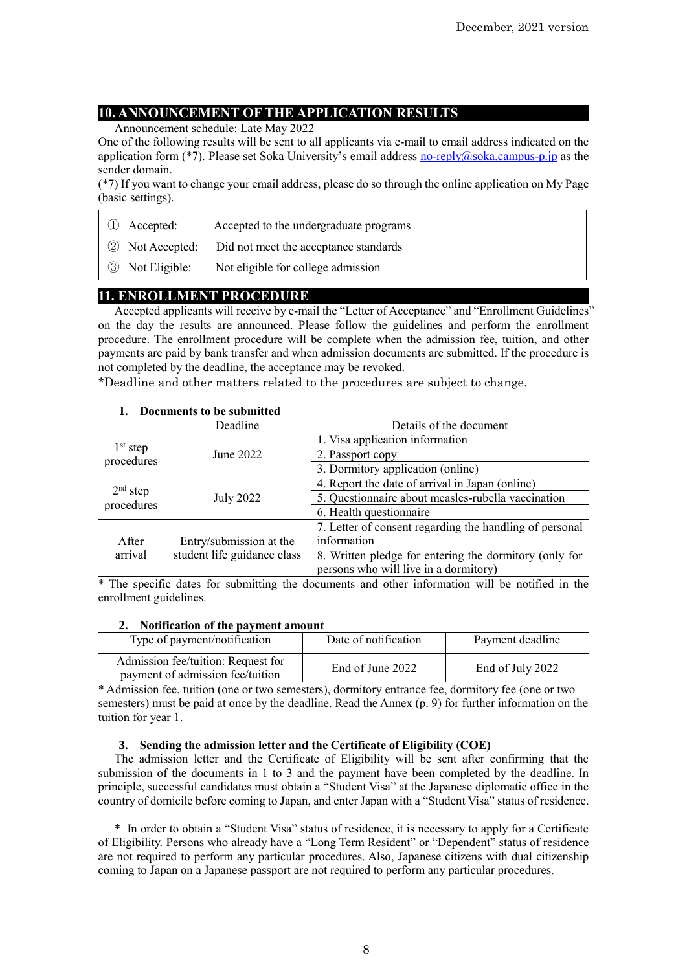## **10. ANNOUNCEMENT OF THE APPLICATION RESULTS**

Announcement schedule: Late May 2022

One of the following results will be sent to all applicants via e-mail to email address indicated on the application form (\*7). Please set Soka University's email address [no-reply@soka.campus-p.jp](mailto:no-reply@soka.campus-p.jp) as the sender domain.

(\*7) If you want to change your email address, please do so through the online application on My Page (basic settings).

- ① Accepted: Accepted to the undergraduate programs
- ② Not Accepted: Did not meet the acceptance standards
- ③ Not Eligible: Not eligible for college admission

## **11. ENROLLMENT PROCEDURE**

Accepted applicants will receive by e-mail the "Letter of Acceptance" and "Enrollment Guidelines" on the day the results are announced. Please follow the guidelines and perform the enrollment procedure. The enrollment procedure will be complete when the admission fee, tuition, and other payments are paid by bank transfer and when admission documents are submitted. If the procedure is not completed by the deadline, the acceptance may be revoked.

\*Deadline and other matters related to the procedures are subject to change.

| росашене со резиршиес    |                             |                                                         |  |  |
|--------------------------|-----------------------------|---------------------------------------------------------|--|--|
|                          | Deadline                    | Details of the document                                 |  |  |
|                          |                             | 1. Visa application information                         |  |  |
| $1st$ step               | June 2022                   | 2. Passport copy                                        |  |  |
| procedures               |                             | 3. Dormitory application (online)                       |  |  |
| $2nd$ step<br>procedures |                             | 4. Report the date of arrival in Japan (online)         |  |  |
|                          | <b>July 2022</b>            | 5. Questionnaire about measles-rubella vaccination      |  |  |
|                          |                             | 6. Health questionnaire                                 |  |  |
|                          |                             | 7. Letter of consent regarding the handling of personal |  |  |
| After                    | Entry/submission at the     | information                                             |  |  |
| arrival                  | student life guidance class | 8. Written pledge for entering the dormitory (only for  |  |  |
|                          |                             | persons who will live in a dormitory)                   |  |  |

#### **1. Documents to be submitted**

\* The specific dates for submitting the documents and other information will be notified in the enrollment guidelines.

#### **2. Notification of the payment amount**

| Type of payment/notification                                           | Date of notification | Payment deadline |
|------------------------------------------------------------------------|----------------------|------------------|
| Admission fee/tuition: Request for<br>payment of admission fee/tuition | End of June 2022     | End of July 2022 |

\* Admission fee, tuition (one or two semesters), dormitory entrance fee, dormitory fee (one or two semesters) must be paid at once by the deadline. Read the Annex (p. 9) for further information on the tuition for year 1.

#### **3. Sending the admission letter and the Certificate of Eligibility (COE)**

The admission letter and the Certificate of Eligibility will be sent after confirming that the submission of the documents in 1 to 3 and the payment have been completed by the deadline. In principle, successful candidates must obtain a "Student Visa" at the Japanese diplomatic office in the country of domicile before coming to Japan, and enter Japan with a "Student Visa" status of residence.

\* In order to obtain a "Student Visa" status of residence, it is necessary to apply for a Certificate of Eligibility. Persons who already have a "Long Term Resident" or "Dependent" status of residence are not required to perform any particular procedures. Also, Japanese citizens with dual citizenship coming to Japan on a Japanese passport are not required to perform any particular procedures.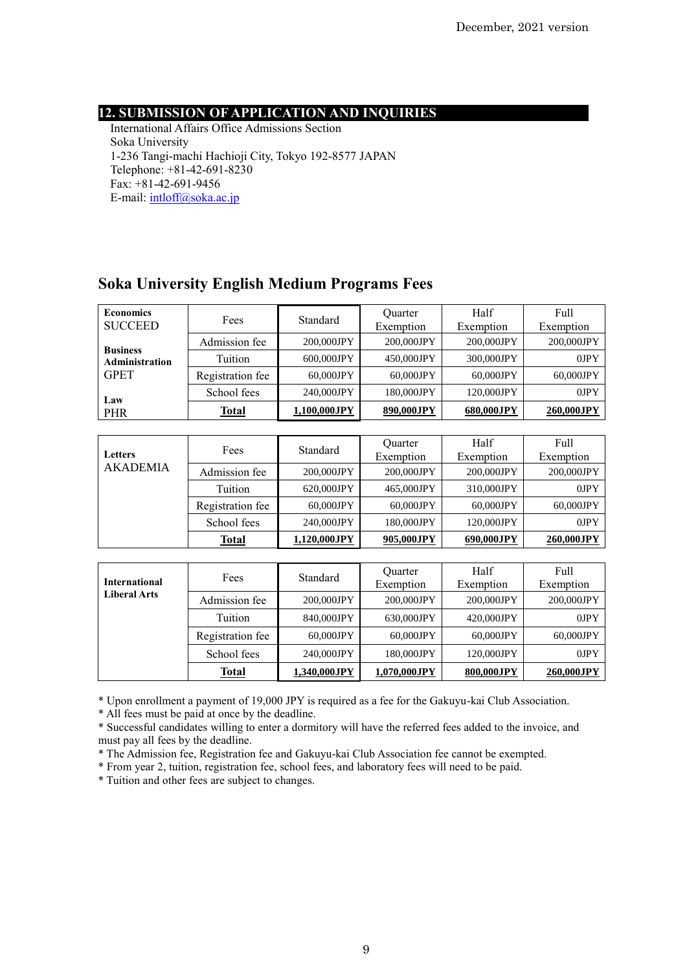## **12. SUBMISSION OF APPLICATION AND INQUIRIES**

International Affairs Office Admissions Section Soka University 1-236 Tangi-machi Hachioji City, Tokyo 192-8577 JAPAN Telephone: +81-42-691-8230  $\text{Fax:} +81-42-691-9456$ E-mail[: intloff@soka.ac.jp](mailto:intloff@soka.ac.jp)

## **Soka University English Medium Programs Fees**

| <b>Economics</b><br><b>SUCCEED</b>               | Fees             | Standard     | <b>Ouarter</b><br>Exemption | Half<br>Exemption | Full<br>Exemption |
|--------------------------------------------------|------------------|--------------|-----------------------------|-------------------|-------------------|
| <b>Business</b><br>Administration<br><b>GPET</b> | Admission fee    | 200,000JPY   | 200,000JPY                  | 200,000JPY        | 200,000JPY        |
|                                                  | Tuition          | 600.000JPY   | 450,000JPY                  | 300,000JPY        | $0$ J $PY$        |
|                                                  | Registration fee | 60,000JPY    | 60.000JPY                   | 60.000JPY         | 60.000JPY         |
| Law<br>PHR                                       | School fees      | 240,000JPY   | 180,000JPY                  | 120,000JPY        | $0$ J $PY$        |
|                                                  | <b>Total</b>     | 1,100,000JPY | 890,000JPY                  | 680,000JPY        | 260,000JPY        |

| <b>Letters</b><br><b>AKADEMIA</b> | Fees             | Standard     | <b>Ouarter</b><br>Exemption | Half<br>Exemption | Full<br>Exemption |
|-----------------------------------|------------------|--------------|-----------------------------|-------------------|-------------------|
|                                   | Admission fee    | 200,000JPY   | 200,000JPY                  | 200,000JPY        | 200,000JPY        |
|                                   | Tuition          | 620,000JPY   | 465,000JPY                  | 310,000JPY        | 0JPY              |
|                                   | Registration fee | 60.000JPY    | 60.000JPY                   | 60.000JPY         | 60,000JPY         |
|                                   | School fees      | 240,000JPY   | 180,000JPY                  | 120,000JPY        | $0$ J $PY$        |
|                                   | Total            | 1,120,000JPY | 905,000JPY                  | 690.000JPY        | 260,000JPY        |

| <b>International</b><br><b>Liberal Arts</b> | Fees             | Standard     | <b>Ouarter</b><br>Exemption | Half<br>Exemption | Full<br>Exemption |
|---------------------------------------------|------------------|--------------|-----------------------------|-------------------|-------------------|
|                                             | Admission fee    | 200,000JPY   | 200,000JPY                  | 200,000JPY        | 200,000JPY        |
|                                             | Tuition          | 840,000JPY   | 630,000JPY                  | 420,000JPY        | 0JPY              |
|                                             | Registration fee | 60,000JPY    | 60.000JPY                   | 60.000JPY         | 60,000JPY         |
|                                             | School fees      | 240,000JPY   | 180,000JPY                  | 120,000JPY        | $0$ J $PY$        |
|                                             | Total            | 1,340,000JPY | 1,070,000JPY                | 800.000JPY        | 260,000JPY        |

\* Upon enrollment a payment of 19,000 JPY is required as a fee for the Gakuyu-kai Club Association.

\* All fees must be paid at once by the deadline.

\* Successful candidates willing to enter a dormitory will have the referred fees added to the invoice, and must pay all fees by the deadline.

\* The Admission fee, Registration fee and Gakuyu-kai Club Association fee cannot be exempted.

\* From year 2, tuition, registration fee, school fees, and laboratory fees will need to be paid.

\* Tuition and other fees are subject to changes.